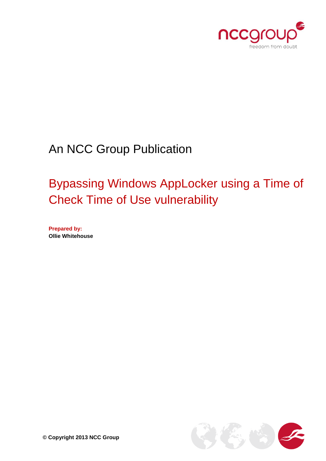

# An NCC Group Publication

# Bypassing Windows AppLocker using a Time of Check Time of Use vulnerability

**Prepared by: Ollie Whitehouse**

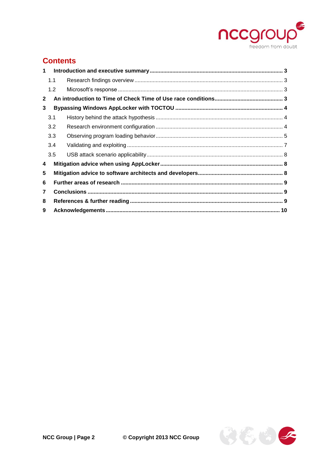

# **Contents**

| $\mathbf 1$    |     |  |  |  |  |  |
|----------------|-----|--|--|--|--|--|
|                | 1.1 |  |  |  |  |  |
|                | 1.2 |  |  |  |  |  |
| $\mathbf{2}$   |     |  |  |  |  |  |
| 3              |     |  |  |  |  |  |
|                | 3.1 |  |  |  |  |  |
|                | 3.2 |  |  |  |  |  |
|                | 3.3 |  |  |  |  |  |
|                | 3.4 |  |  |  |  |  |
|                | 3.5 |  |  |  |  |  |
| 4              |     |  |  |  |  |  |
| 5              |     |  |  |  |  |  |
| 6              |     |  |  |  |  |  |
| $\overline{7}$ |     |  |  |  |  |  |
| 8              |     |  |  |  |  |  |
| 9              |     |  |  |  |  |  |

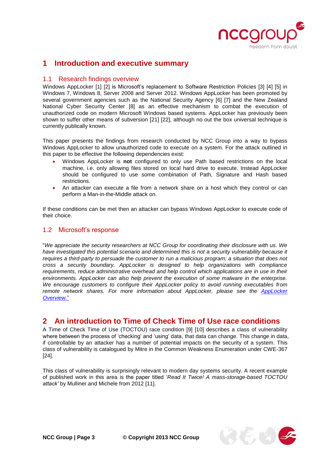

# <span id="page-2-0"></span>**1 Introduction and executive summary**

## <span id="page-2-1"></span>1.1 Research findings overview

Windows AppLocker [\[1\]](#page-8-3) [\[2\]](#page-8-4) is Microsoft's replacement to Software Restriction Policies [\[3\]](#page-8-5) [\[4\]](#page-8-6) [\[5\]](#page-8-7) in Windows 7, Windows 8, Server 2008 and Server 2012. Windows AppLocker has been promoted by several government agencies such as the National Security Agency [\[6\]](#page-8-8) [\[7\]](#page-8-9) and the New Zealand National Cyber Security Center [\[8\]](#page-8-10) as an effective mechanism to combat the execution of unauthorized code on modern Microsoft Windows based systems. AppLocker has previously been shown to suffer other means of subversion [\[21\]](#page-9-1) [\[22\]](#page-9-2), although no out the box universal technique is currently publically known.

This paper presents the findings from research conducted by NCC Group into a way to bypass Windows AppLocker to allow unauthorized code to execute on a system. For the attack outlined in this paper to be effective the following dependencies exist:

- Windows AppLocker is **not** configured to only use Path based restrictions on the local machine, i.e. only allowing files stored on local hard drive to execute. Instead AppLocker should be configured to use some combination of Path, Signature and Hash based restrictions.
- An attacker can execute a file from a network share on a host which they control or can perform a Man-in-the-Middle attack on.

If these conditions can be met then an attacker can bypass Windows AppLocker to execute code of their choice.

## <span id="page-2-2"></span>1.2 Microsoft's response

"*We appreciate the security researchers at NCC Group for coordinating their disclosure with us. We have investigated this potential scenario and determined this is not a security vulnerability because it requires a third-party to persuade the customer to run a malicious program; a situation that does not cross a security boundary. AppLocker is designed to help organizations with compliance requirements, reduce administrative overhead and help control which applications are in use in their environments. AppLocker can also help prevent the execution of some malware in the enterprise. We encourage customers to configure their AppLocker policy to avoid running executables from*  remote network shares. For more information about AppLocker, please see the AppLocker *[Overview.](http://technet.microsoft.com/en-us/library/hh831440.aspx)*"

# <span id="page-2-3"></span>**2 An introduction to Time of Check Time of Use race conditions**

A Time of Check Time of Use (TOCTOU) race condition [\[9\]](#page-8-11) [\[10\]](#page-8-12) describes a class of vulnerability where between the process of 'checking' and 'using' data, that data can change. This change in data, if controllable by an attacker has a number of potential impacts on the security of a system. This class of vulnerability is catalogued by Mitre in the Common Weakness Enumeration under CWE-367 [\[24\]](#page-9-3).

This class of vulnerability is surprisingly relevant to modern day systems security. A recent example of published work in this area is the paper titled '*Read It Twice! A mass-storage-based TOCTOU attack'* by Mulliner and Michele from 2012 [\[11\]](#page-8-13).

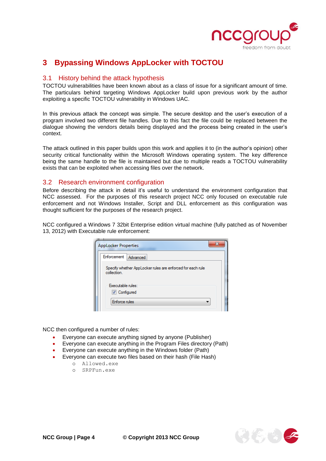

# <span id="page-3-0"></span>**3 Bypassing Windows AppLocker with TOCTOU**

## <span id="page-3-1"></span>3.1 History behind the attack hypothesis

TOCTOU vulnerabilities have been known about as a class of issue for a significant amount of time. The particulars behind targeting Windows AppLocker build upon previous work by the author exploiting a specific TOCTOU vulnerability in Windows UAC.

In this previous attack the concept was simple. The secure desktop and the user's execution of a program involved two different file handles. Due to this fact the file could be replaced between the dialogue showing the vendors details being displayed and the process being created in the user's context.

The attack outlined in this paper builds upon this work and applies it to (in the author's opinion) other security critical functionality within the Microsoft Windows operating system. The key difference being the same handle to the file is maintained but due to multiple reads a TOCTOU vulnerability exists that can be exploited when accessing files over the network.

## <span id="page-3-2"></span>3.2 Research environment configuration

Before describing the attack in detail it's useful to understand the environment configuration that NCC assessed. For the purposes of this research project NCC only focused on executable rule enforcement and not Windows Installer, Script and DLL enforcement as this configuration was thought sufficient for the purposes of the research project.

NCC configured a Windows 7 32bit Enterprise edition virtual machine (fully patched as of November 13, 2012) with Executable rule enforcement:

| х<br><b>AppLocker Properties</b>                                         |  |  |  |  |  |
|--------------------------------------------------------------------------|--|--|--|--|--|
| Enforcement Advanced                                                     |  |  |  |  |  |
| Specify whether AppLocker rules are enforced for each rule<br>collection |  |  |  |  |  |
| Executable rules:                                                        |  |  |  |  |  |
| <b>V</b> Configured                                                      |  |  |  |  |  |
| Enforce rules                                                            |  |  |  |  |  |

NCC then configured a number of rules:

- Everyone can execute anything signed by anyone (Publisher)
- Everyone can execute anything in the Program Files directory (Path)
- Everyone can execute anything in the Windows folder (Path)
- Everyone can execute two files based on their hash (File Hash)
	- o Allowed.exe
	- o SRPFun.exe

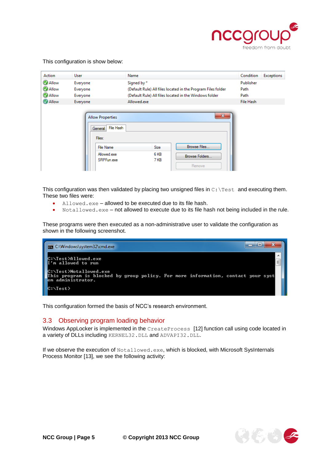

#### This configuration is show below:

| Action                                                                               | <b>User</b>               | Name                                                         | Condition | <b>Exceptions</b> |
|--------------------------------------------------------------------------------------|---------------------------|--------------------------------------------------------------|-----------|-------------------|
| <b>MAllow</b>                                                                        | Everyone                  | Signed by *                                                  | Publisher |                   |
| Allow                                                                                | Everyone                  | (Default Rule) All files located in the Program Files folder | Path      |                   |
| MAllow                                                                               | Everyone                  | (Default Rule) All files located in the Windows folder       | Path      |                   |
| <b>MAllow</b>                                                                        | Everyone                  | Allowed.exe                                                  | File Hash |                   |
| <b>Allow Properties</b><br><b>File Hash</b><br>General<br>Files:<br><b>File Name</b> |                           | $\mathbf{x}$<br>Browse Files<br><b>Size</b>                  |           |                   |
|                                                                                      | Allowed.exe<br>SRPFun.exe | 6 KB<br>Browse Folders<br>7 KB<br>Remove                     |           |                   |

This configuration was then validated by placing two unsigned files in C: \Test and executing them. These two files were:

- Allowed.exe allowed to be executed due to its file hash.
- Notallowed.exe not allowed to execute due to its file hash not being included in the rule.

These programs were then executed as a non-administrative user to validate the configuration as shown in the following screenshot.



This configuration formed the basis of NCC's research environment.

### <span id="page-4-0"></span>3.3 Observing program loading behavior

Windows AppLocker is implemented in the CreateProcess [\[12\]](#page-9-4) function call using code located in a variety of DLLs including KERNEL32.DLL and ADVAPI32.DLL.

If we observe the execution of Notallowed.exe, which is blocked, with Microsoft SysInternals Process Monitor [\[13\]](#page-9-5), we see the following activity:

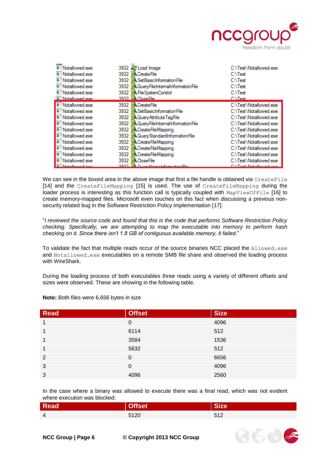

 $\left(\xi\right)$  to  $\leq$ 

| Notallowed.exe<br><b>E-! Notallowed.exe</b><br>■-! Notallowed.exe<br>■-! Notallowed.exe<br><b>■-! Notallowed.exe</b><br><b>E-Wotallowed exer</b> | 3932 2 Load Image<br>3932 CreateFile<br>3932 - Set Basic Information File<br>3932 <b>R</b> QueryFileInternalInformationFile<br>3932 R FileSystemControl<br>3932 Close File | C:\Test\Notallowed.exe<br>$C:\$ Test<br>$C:\$ Test<br>$C:\$ Test<br>$C:\$ Test<br><b>C:\Test</b> |
|--------------------------------------------------------------------------------------------------------------------------------------------------|----------------------------------------------------------------------------------------------------------------------------------------------------------------------------|--------------------------------------------------------------------------------------------------|
| <b>F</b> : Notallowed.exe                                                                                                                        | 3932 <b>K</b> CreateFile                                                                                                                                                   | C:\Test\Notallowed.exe                                                                           |
| <b>E-! Notallowed exe</b>                                                                                                                        | 3932 <b>K</b> Set Basic Information File                                                                                                                                   | C:\Test\Notallowed.exe                                                                           |
| <b>E-! Notallowed exe</b>                                                                                                                        | 3932 <b>R</b> Query Attribute TagFile                                                                                                                                      | C:\Test\Notallowed.exe                                                                           |
| <b>E-</b> Notallowed exe                                                                                                                         | 3932 <b>R</b> QueryFileInternalInformationFile                                                                                                                             | C:\Test\Notallowed.exe                                                                           |
| <b>F</b> -Notallowed.exe                                                                                                                         | 3932 <b>K</b> CreateFileMapping                                                                                                                                            | C:\Test\Notallowed.exe                                                                           |
| <b>E-'</b> Notallowed.exe                                                                                                                        | 3932 RQueryStandardInformationFile                                                                                                                                         | C:\Test\Notallowed.exe                                                                           |
| <b>E-! Notallowed.exe</b>                                                                                                                        | 3932 <b>K</b> CreateFileMapping                                                                                                                                            | C:\Test\Notallowed.exe                                                                           |
| -'Notallowed.exe                                                                                                                                 | 3932 <b>K</b> CreateFileMapping                                                                                                                                            | C:\Test\Notallowed.exe                                                                           |
| <b>F</b> -' Notallowed.exe                                                                                                                       | 3932 <b>K</b> CreateFileMapping                                                                                                                                            | C:\Test\Notallowed.exe                                                                           |
| Notallowed.exe                                                                                                                                   | 3932 <b>KCloseFile</b>                                                                                                                                                     | C:\Test\Notallowed.exe                                                                           |
| <b>E. Not-llowed over</b>                                                                                                                        | 2022 August moletomation File                                                                                                                                              | CA Toot Motallound over                                                                          |

We can see in the boxed area in the above image that first a file handle is obtained via CreateFile [\[14\]](#page-9-6) and the CreateFileMapping [\[15\]](#page-9-7) is used. The use of CreateFileMapping during the loader process is interesting as this function call is typically coupled with MapViewOfFile [\[16\]](#page-9-8) to create memory-mapped files. Microsoft even touches on this fact when discussing a previous nonsecurity related bug in the Software Restriction Policy implementation [\[17\]](#page-9-9).

"*I reviewed the source code and found that this is the code that performs Software Restriction Policy checking. Specifically, we are attempting to map the executable into memory to perform hash checking on it. Since there isn't 1.8 GB of contiguous available memory, it failed.*"

To validate the fact that multiple reads occur of the source binaries NCC placed the Allowed.exe and Notallowed.exe executables on a remote SMB file share and observed the loading process with WireShark.

During the loading process of both executables three reads using a variety of different offsets and sizes were observed. These are showing in the following table.

| <b>Read</b>    | <b>Offset</b> | <b>Size</b> |
|----------------|---------------|-------------|
| 1              | 0             | 4096        |
| 1              | 6114          | 512         |
| 1              | 3584          | 1536        |
| 1              | 5632          | 512         |
| $\overline{2}$ | $\Omega$      | 6656        |
| 3              | 0             | 4096        |
| 3              | 4096          | 2560        |

**Note:** Both files were 6,656 bytes in size

In the case where a binary was allowed to execute there was a final read, which was not evident where execution was blocked:

| <b>Read</b> |      |                                 |
|-------------|------|---------------------------------|
| 4           | 5120 | F A<br>$\overline{\phantom{a}}$ |

**NCC Group | Page 6 © Copyright 2013 NCC Group**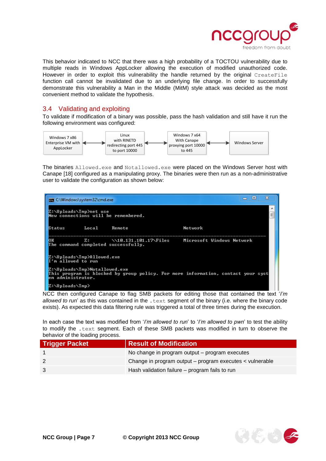

This behavior indicated to NCC that there was a high probability of a TOCTOU vulnerability due to multiple reads in Windows AppLocker allowing the execution of modified unauthorized code. However in order to exploit this vulnerability the handle returned by the original CreateFile function call cannot be invalidated due to an underlying file change. In order to successfully demonstrate this vulnerability a Man in the Middle (MitM) style attack was decided as the most convenient method to validate the hypothesis.

## <span id="page-6-0"></span>3.4 Validating and exploiting

To validate if modification of a binary was possible, pass the hash validation and still have it run the following environment was configured:



The binaries Allowed.exe and Notallowed.exe were placed on the Windows Server host with Canape [\[18\]](#page-9-10) configured as a manipulating proxy. The binaries were then run as a non-administrative user to validate the configuration as shown below:

| lo<br><b>EXIL C:\Windows\system32\cmd.exe</b>                                                                                          |       |        |         |  |  |  |
|----------------------------------------------------------------------------------------------------------------------------------------|-------|--------|---------|--|--|--|
| Z:\Uploads\Tmp>net use<br>Ė<br>New connections will be remembered.                                                                     |       |        |         |  |  |  |
| Status                                                                                                                                 | Local | Remote | Network |  |  |  |
| OК<br>\\10.131.101.17\Files<br>Microsoft Windows Network<br>z:<br>The command completed successfully.                                  |       |        |         |  |  |  |
| Z:\Uploads\Tmp>Allowed.exe<br>I'm allowed to run                                                                                       |       |        |         |  |  |  |
| Z:\Uploads\Tmp>Notallowed.exe<br>This program is blocked by group policy. For more information, contact your syst<br>em administrator. |       |        |         |  |  |  |
| Z:\Uploads\Tmp>                                                                                                                        |       |        |         |  |  |  |

NCC then configured Canape to flag SMB packets for editing those that contained the text '*I'm allowed to run*' as this was contained in the . text segment of the binary (i.e. where the binary code exists). As expected this data filtering rule was triggered a total of three times during the execution.

In each case the text was modified from '*I'm allowed to run*' to '*I'm allowed to pwn*' to test the ability to modify the .text segment. Each of these SMB packets was modified in turn to observe the behavior of the loading process.

| <b>Trigger Packet</b> | <b>Result of Modification</b>                            |
|-----------------------|----------------------------------------------------------|
|                       | No change in program output - program executes           |
|                       | Change in program output – program executes < vulnerable |
|                       | Hash validation failure - program fails to run           |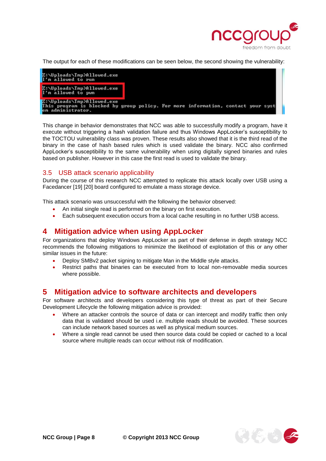

The output for each of these modifications can be seen below, the second showing the vulnerability:

| Z:\Uploads\Tmp>Allowed.exe<br>I'm allowed to run                                                                                    |  |  |  |
|-------------------------------------------------------------------------------------------------------------------------------------|--|--|--|
| Z:\Uploads\Tmp>Allowed.exe<br>I'm allowed to pwn                                                                                    |  |  |  |
| Z:\Uploads\Tmp>Allowed.exe<br>This program is blocked by group policy. For more information, contact your syst<br>em administrator. |  |  |  |

This change in behavior demonstrates that NCC was able to successfully modify a program, have it execute without triggering a hash validation failure and thus Windows AppLocker's susceptibility to the TOCTOU vulnerability class was proven. These results also showed that it is the third read of the binary in the case of hash based rules which is used validate the binary. NCC also confirmed AppLocker's susceptibility to the same vulnerability when using digitally signed binaries and rules based on publisher. However in this case the first read is used to validate the binary.

### <span id="page-7-0"></span>3.5 USB attack scenario applicability

During the course of this research NCC attempted to replicate this attack locally over USB using a Facedancer [\[19\]](#page-9-11) [\[20\]](#page-9-12) board configured to emulate a mass storage device.

This attack scenario was unsuccessful with the following the behavior observed:

- An initial single read is performed on the binary on first execution.
- Each subsequent execution occurs from a local cache resulting in no further USB access.

## <span id="page-7-1"></span>**4 Mitigation advice when using AppLocker**

For organizations that deploy Windows AppLocker as part of their defense in depth strategy NCC recommends the following mitigations to minimize the likelihood of exploitation of this or any other similar issues in the future:

- Deploy SMBv2 packet signing to mitigate Man in the Middle style attacks.
- Restrict paths that binaries can be executed from to local non-removable media sources where possible.

## <span id="page-7-2"></span>**5 Mitigation advice to software architects and developers**

For software architects and developers considering this type of threat as part of their Secure Development Lifecycle the following mitigation advice is provided:

- Where an attacker controls the source of data or can intercept and modify traffic then only data that is validated should be used i.e. multiple reads should be avoided. These sources can include network based sources as well as physical medium sources.
- Where a single read cannot be used then source data could be copied or cached to a local source where multiple reads can occur without risk of modification.

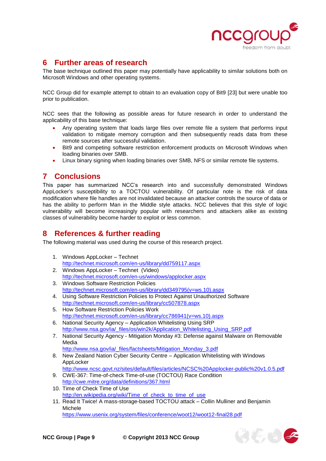

 $\mathcal{E}(\xi)$ 

# <span id="page-8-0"></span>**6 Further areas of research**

The base technique outlined this paper may potentially have applicability to similar solutions both on Microsoft Windows and other operating systems.

NCC Group did for example attempt to obtain to an evaluation copy of Bit9 [\[23\]](#page-9-13) but were unable too prior to publication.

NCC sees that the following as possible areas for future research in order to understand the applicability of this base technique:

- Any operating system that loads large files over remote file a system that performs input validation to mitigate memory corruption and then subsequently reads data from these remote sources after successful validation.
- Bit9 and competing software restriction enforcement products on Microsoft Windows when loading binaries over SMB.
- Linux binary signing when loading binaries over SMB, NFS or similar remote file systems.

# <span id="page-8-1"></span>**7 Conclusions**

This paper has summarized NCC's research into and successfully demonstrated Windows AppLocker's susceptibility to a TOCTOU vulnerability. Of particular note is the risk of data modification where file handles are not invalidated because an attacker controls the source of data or has the ability to perform Man in the Middle style attacks. NCC believes that this style of logic vulnerability will become increasingly popular with researchers and attackers alike as existing classes of vulnerability become harder to exploit or less common.

# <span id="page-8-2"></span>**8 References & further reading**

The following material was used during the course of this research project.

- <span id="page-8-3"></span>1. Windows AppLocker – Technet <http://technet.microsoft.com/en-us/library/dd759117.aspx>
- <span id="page-8-4"></span>2. Windows AppLocker – Technet (Video) <http://technet.microsoft.com/en-us/windows/applocker.aspx>
- <span id="page-8-5"></span>3. Windows Software Restriction Policies [http://technet.microsoft.com/en-us/library/dd349795\(v=ws.10\).aspx](http://technet.microsoft.com/en-us/library/dd349795(v=ws.10).aspx)
- <span id="page-8-6"></span>4. Using Software Restriction Policies to Protect Against Unauthorized Software <http://technet.microsoft.com/en-us/library/cc507878.aspx>
- <span id="page-8-7"></span>5. How Software Restriction Policies Work [http://technet.microsoft.com/en-us/library/cc786941\(v=ws.10\).aspx](http://technet.microsoft.com/en-us/library/cc786941(v=ws.10).aspx)
- <span id="page-8-8"></span>6. National Security Agency – Application Whitelisting Using SRP [http://www.nsa.gov/ia/\\_files/os/win2k/Application\\_Whitelisting\\_Using\\_SRP.pdf](http://www.nsa.gov/ia/_files/os/win2k/Application_Whitelisting_Using_SRP.pdf)
- <span id="page-8-9"></span>7. National Security Agency - Mitigation Monday #3: Defense against Malware on Removable Media
	- [http://www.nsa.gov/ia/\\_files/factsheets/Mitigation\\_Monday\\_3.pdf](http://www.nsa.gov/ia/_files/factsheets/Mitigation_Monday_3.pdf)
- <span id="page-8-10"></span>8. New Zealand Nation Cyber Security Centre – Application Whitelisting with Windows AppLocker
	- <http://www.ncsc.govt.nz/sites/default/files/articles/NCSC%20Applocker-public%20v1.0.5.pdf>
- <span id="page-8-11"></span>9. CWE-367: Time-of-check Time-of-use (TOCTOU) Race Condition <http://cwe.mitre.org/data/definitions/367.html>
- <span id="page-8-12"></span>10. Time of Check Time of Use [http://en.wikipedia.org/wiki/Time\\_of\\_check\\_to\\_time\\_of\\_use](http://en.wikipedia.org/wiki/Time_of_check_to_time_of_use)
- <span id="page-8-13"></span>11. Read It Twice! A mass-storage-based TOCTOU attack – Collin Mulliner and Benjamin Michele <https://www.usenix.org/system/files/conference/woot12/woot12-final28.pdf>